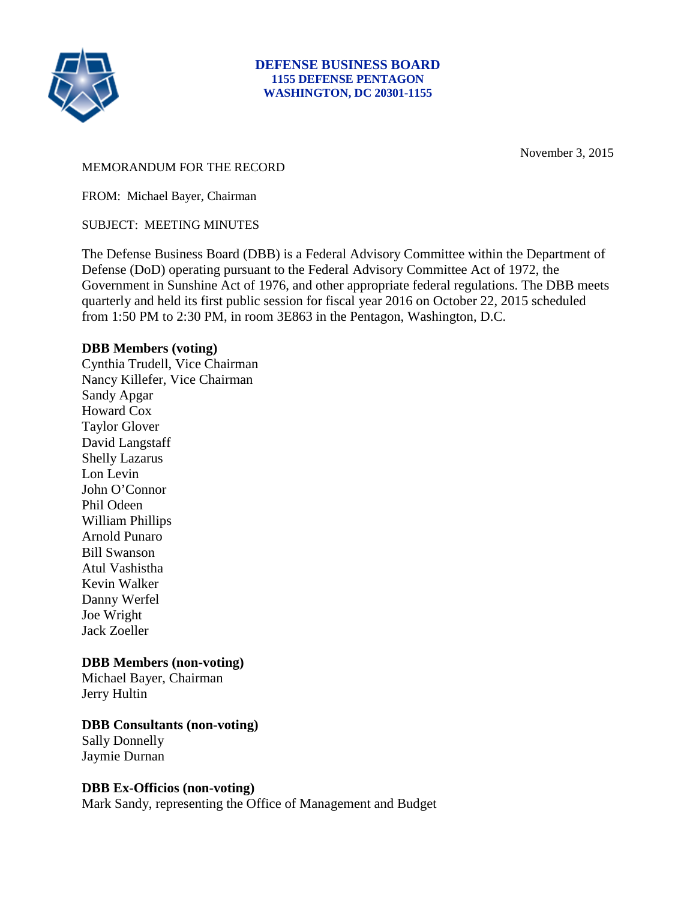

November 3, 2015

#### MEMORANDUM FOR THE RECORD

FROM: Michael Bayer, Chairman

SUBJECT: MEETING MINUTES

The Defense Business Board (DBB) is a Federal Advisory Committee within the Department of Defense (DoD) operating pursuant to the Federal Advisory Committee Act of 1972, the Government in Sunshine Act of 1976, and other appropriate federal regulations. The DBB meets quarterly and held its first public session for fiscal year 2016 on October 22, 2015 scheduled from 1:50 PM to 2:30 PM, in room 3E863 in the Pentagon, Washington, D.C.

### **DBB Members (voting)**

Cynthia Trudell, Vice Chairman Nancy Killefer, Vice Chairman Sandy Apgar Howard Cox Taylor Glover David Langstaff Shelly Lazarus Lon Levin John O'Connor Phil Odeen William Phillips Arnold Punaro Bill Swanson Atul Vashistha Kevin Walker Danny Werfel Joe Wright Jack Zoeller

### **DBB Members (non-voting)**

Michael Bayer, Chairman Jerry Hultin

### **DBB Consultants (non-voting)**

Sally Donnelly Jaymie Durnan

### **DBB Ex-Officios (non-voting)**

Mark Sandy, representing the Office of Management and Budget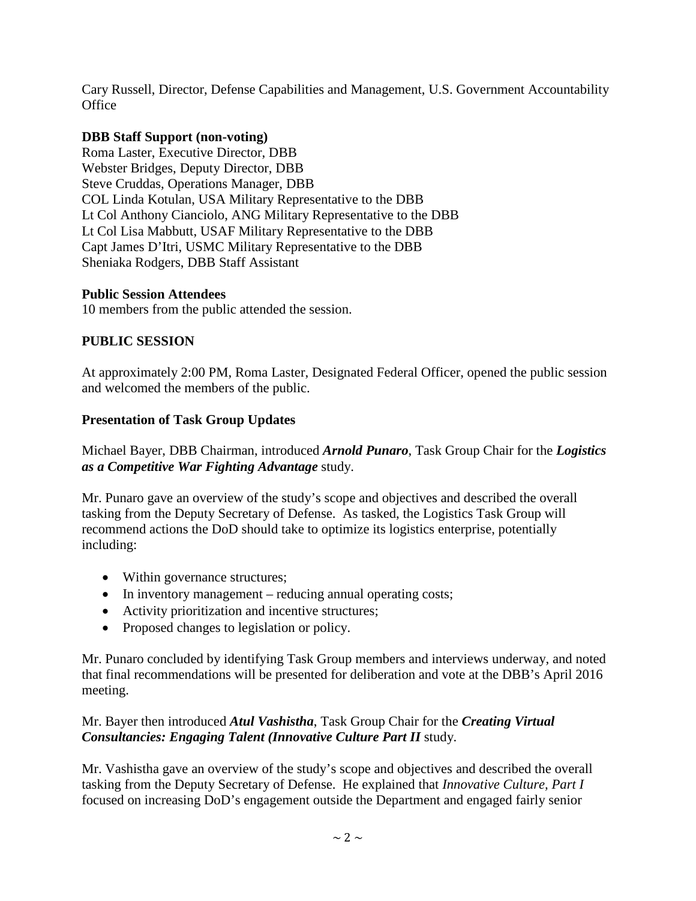Cary Russell, Director, Defense Capabilities and Management, U.S. Government Accountability **Office** 

### **DBB Staff Support (non-voting)**

Roma Laster, Executive Director, DBB Webster Bridges, Deputy Director, DBB Steve Cruddas, Operations Manager, DBB COL Linda Kotulan, USA Military Representative to the DBB Lt Col Anthony Cianciolo, ANG Military Representative to the DBB Lt Col Lisa Mabbutt, USAF Military Representative to the DBB Capt James D'Itri, USMC Military Representative to the DBB Sheniaka Rodgers, DBB Staff Assistant

### **Public Session Attendees**

10 members from the public attended the session.

### **PUBLIC SESSION**

At approximately 2:00 PM, Roma Laster, Designated Federal Officer, opened the public session and welcomed the members of the public.

## **Presentation of Task Group Updates**

## Michael Bayer, DBB Chairman, introduced *Arnold Punaro*, Task Group Chair for the *Logistics as a Competitive War Fighting Advantage* study.

Mr. Punaro gave an overview of the study's scope and objectives and described the overall tasking from the Deputy Secretary of Defense. As tasked, the Logistics Task Group will recommend actions the DoD should take to optimize its logistics enterprise, potentially including:

- Within governance structures;
- In inventory management reducing annual operating costs;
- Activity prioritization and incentive structures;
- Proposed changes to legislation or policy.

Mr. Punaro concluded by identifying Task Group members and interviews underway, and noted that final recommendations will be presented for deliberation and vote at the DBB's April 2016 meeting.

## Mr. Bayer then introduced *Atul Vashistha*, Task Group Chair for the *Creating Virtual Consultancies: Engaging Talent (Innovative Culture Part II* study.

Mr. Vashistha gave an overview of the study's scope and objectives and described the overall tasking from the Deputy Secretary of Defense. He explained that *Innovative Culture, Part I* focused on increasing DoD's engagement outside the Department and engaged fairly senior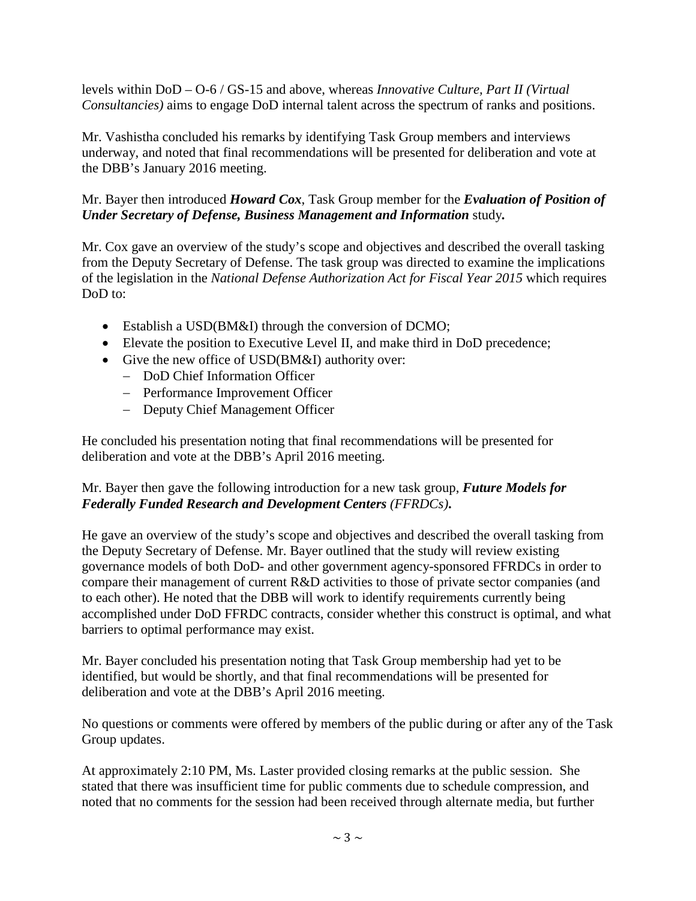levels within DoD – O-6 / GS-15 and above, whereas *Innovative Culture, Part II (Virtual Consultancies)* aims to engage DoD internal talent across the spectrum of ranks and positions.

Mr. Vashistha concluded his remarks by identifying Task Group members and interviews underway, and noted that final recommendations will be presented for deliberation and vote at the DBB's January 2016 meeting.

## Mr. Bayer then introduced *Howard Cox*, Task Group member for the *Evaluation of Position of Under Secretary of Defense, Business Management and Information* study*.*

Mr. Cox gave an overview of the study's scope and objectives and described the overall tasking from the Deputy Secretary of Defense. The task group was directed to examine the implications of the legislation in the *National Defense Authorization Act for Fiscal Year 2015* which requires DoD to:

- Establish a USD(BM&I) through the conversion of DCMO;
- Elevate the position to Executive Level II, and make third in DoD precedence;
- Give the new office of USD(BM&I) authority over:
	- − DoD Chief Information Officer
	- − Performance Improvement Officer
	- − Deputy Chief Management Officer

He concluded his presentation noting that final recommendations will be presented for deliberation and vote at the DBB's April 2016 meeting.

## Mr. Bayer then gave the following introduction for a new task group, *Future Models for Federally Funded Research and Development Centers (FFRDCs)***.**

He gave an overview of the study's scope and objectives and described the overall tasking from the Deputy Secretary of Defense. Mr. Bayer outlined that the study will review existing governance models of both DoD- and other government agency-sponsored FFRDCs in order to compare their management of current R&D activities to those of private sector companies (and to each other). He noted that the DBB will work to identify requirements currently being accomplished under DoD FFRDC contracts, consider whether this construct is optimal, and what barriers to optimal performance may exist.

Mr. Bayer concluded his presentation noting that Task Group membership had yet to be identified, but would be shortly, and that final recommendations will be presented for deliberation and vote at the DBB's April 2016 meeting.

No questions or comments were offered by members of the public during or after any of the Task Group updates.

At approximately 2:10 PM, Ms. Laster provided closing remarks at the public session. She stated that there was insufficient time for public comments due to schedule compression, and noted that no comments for the session had been received through alternate media, but further